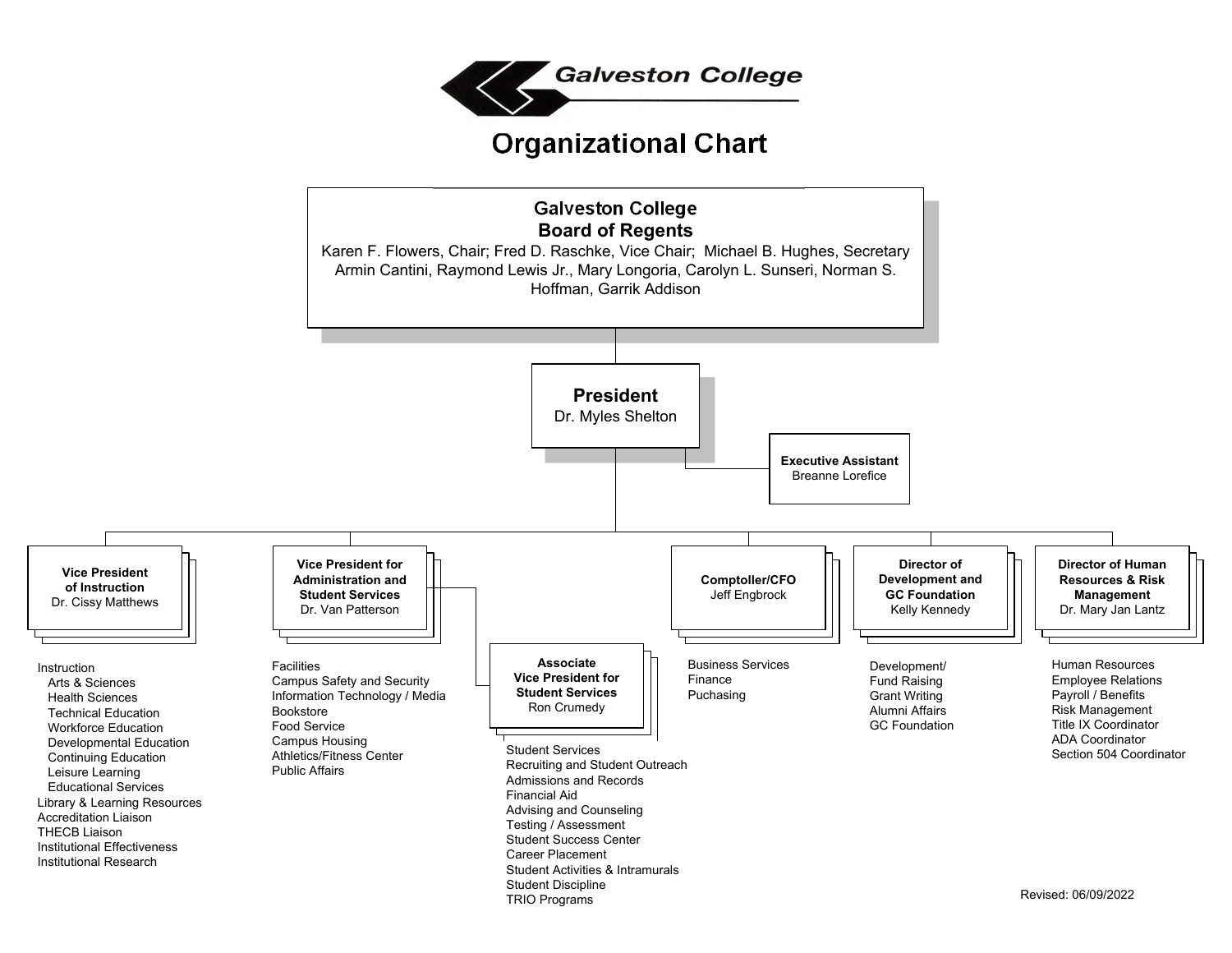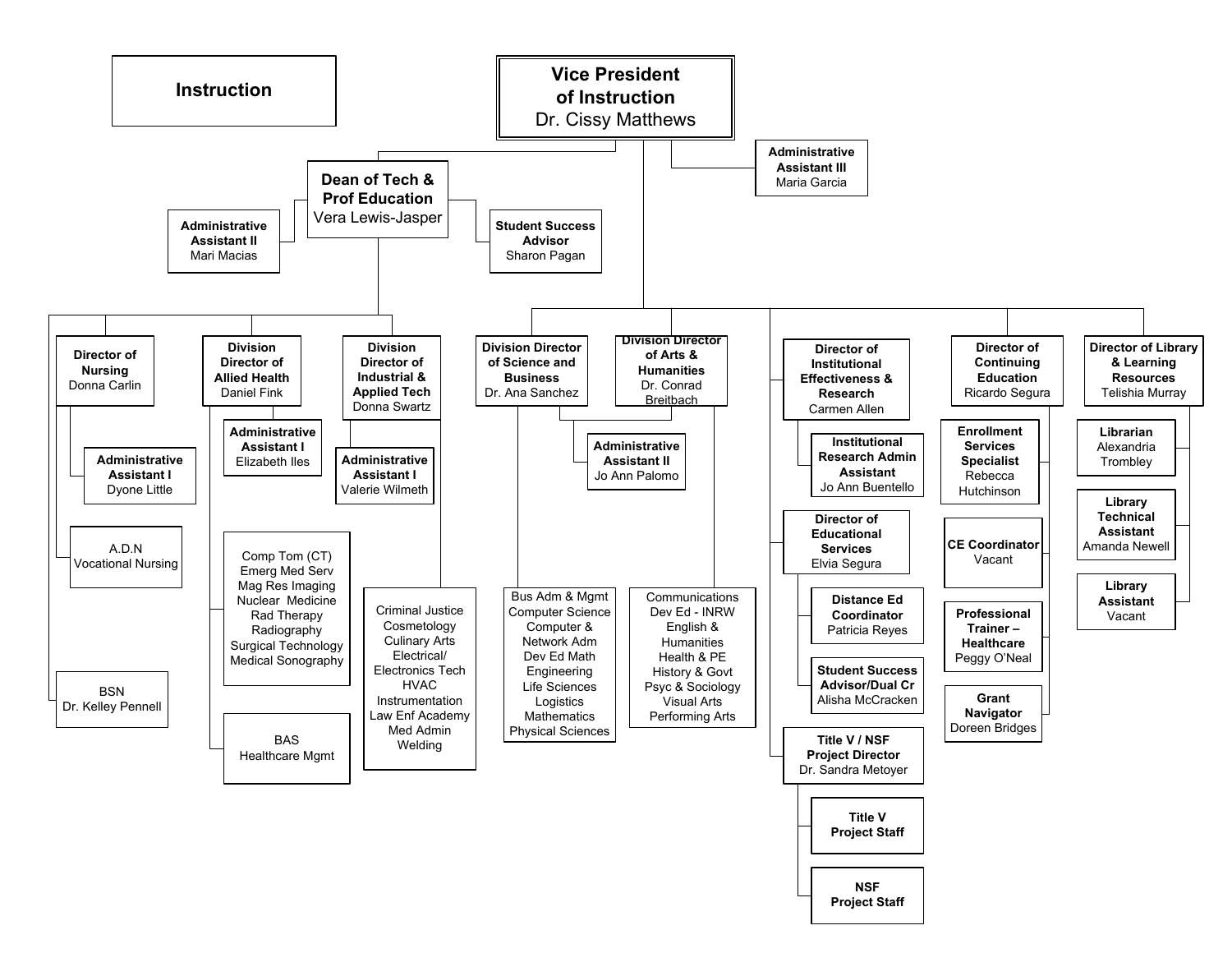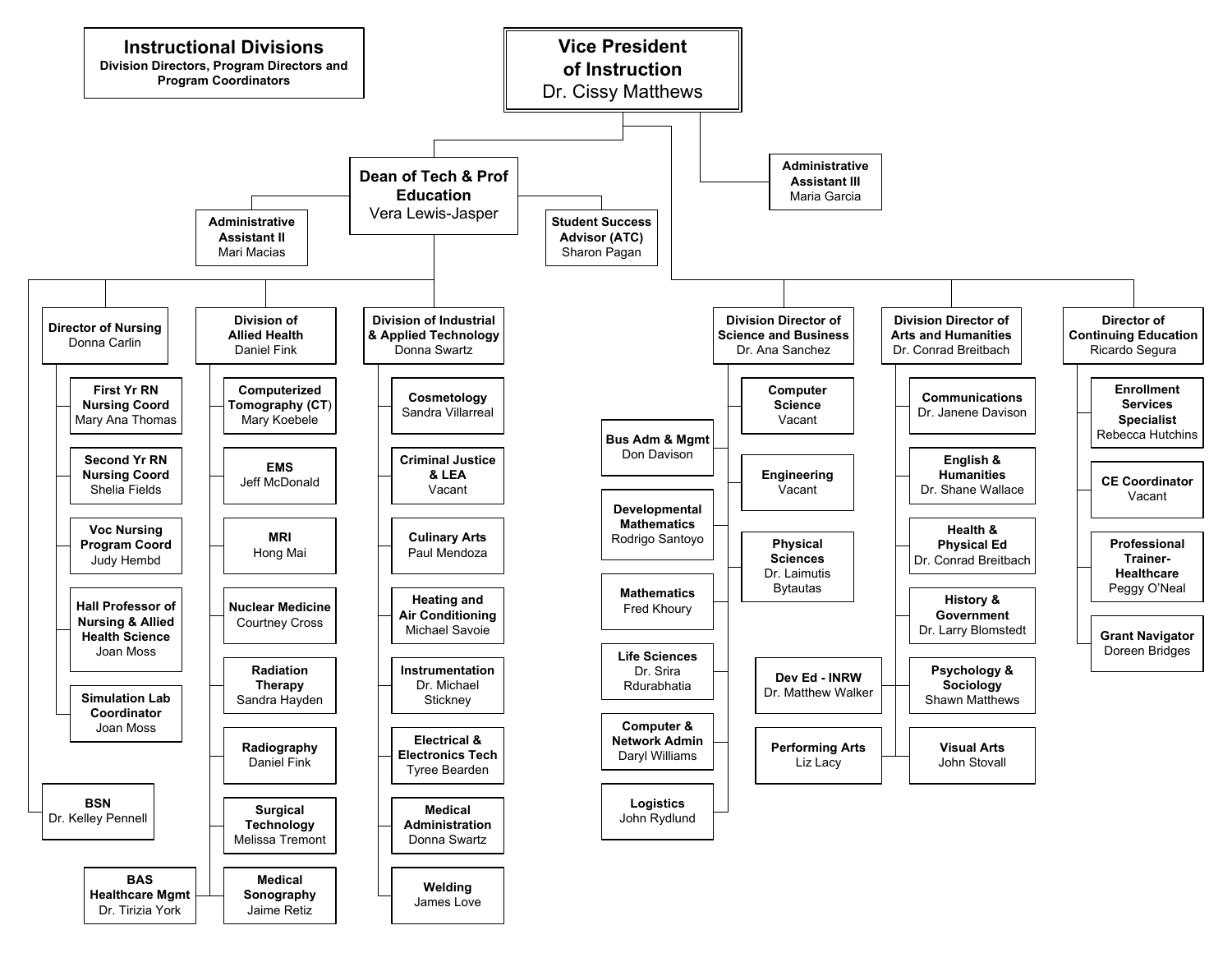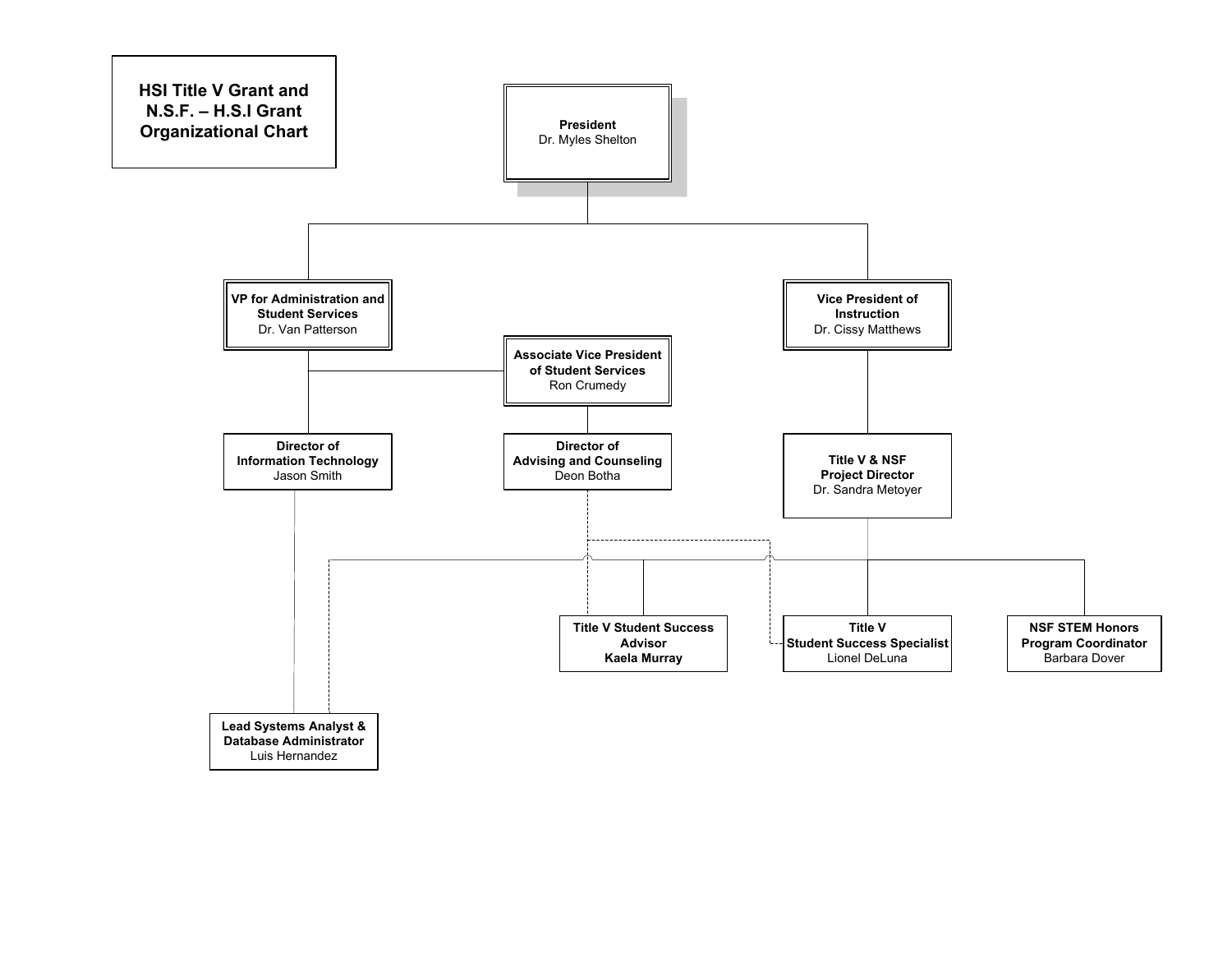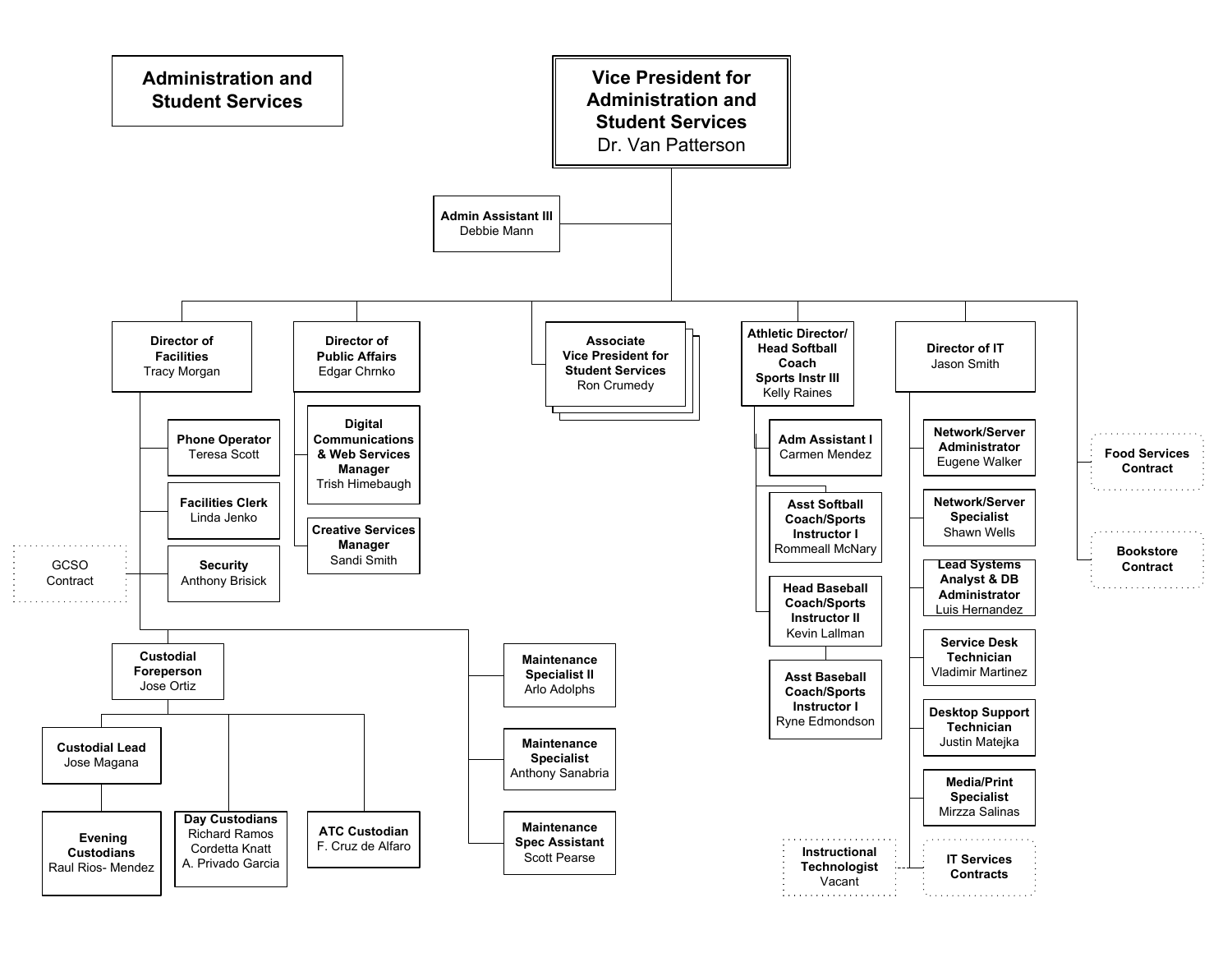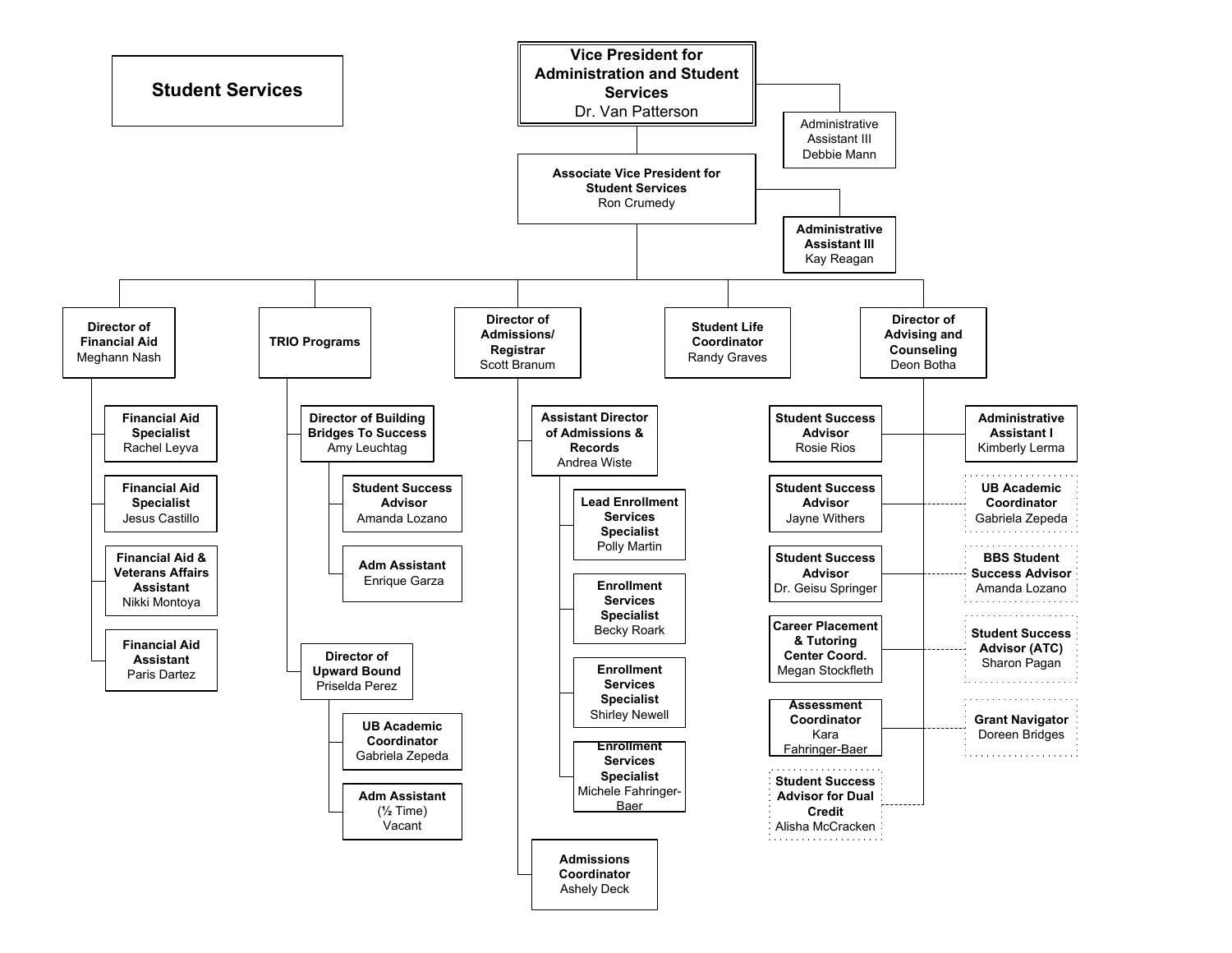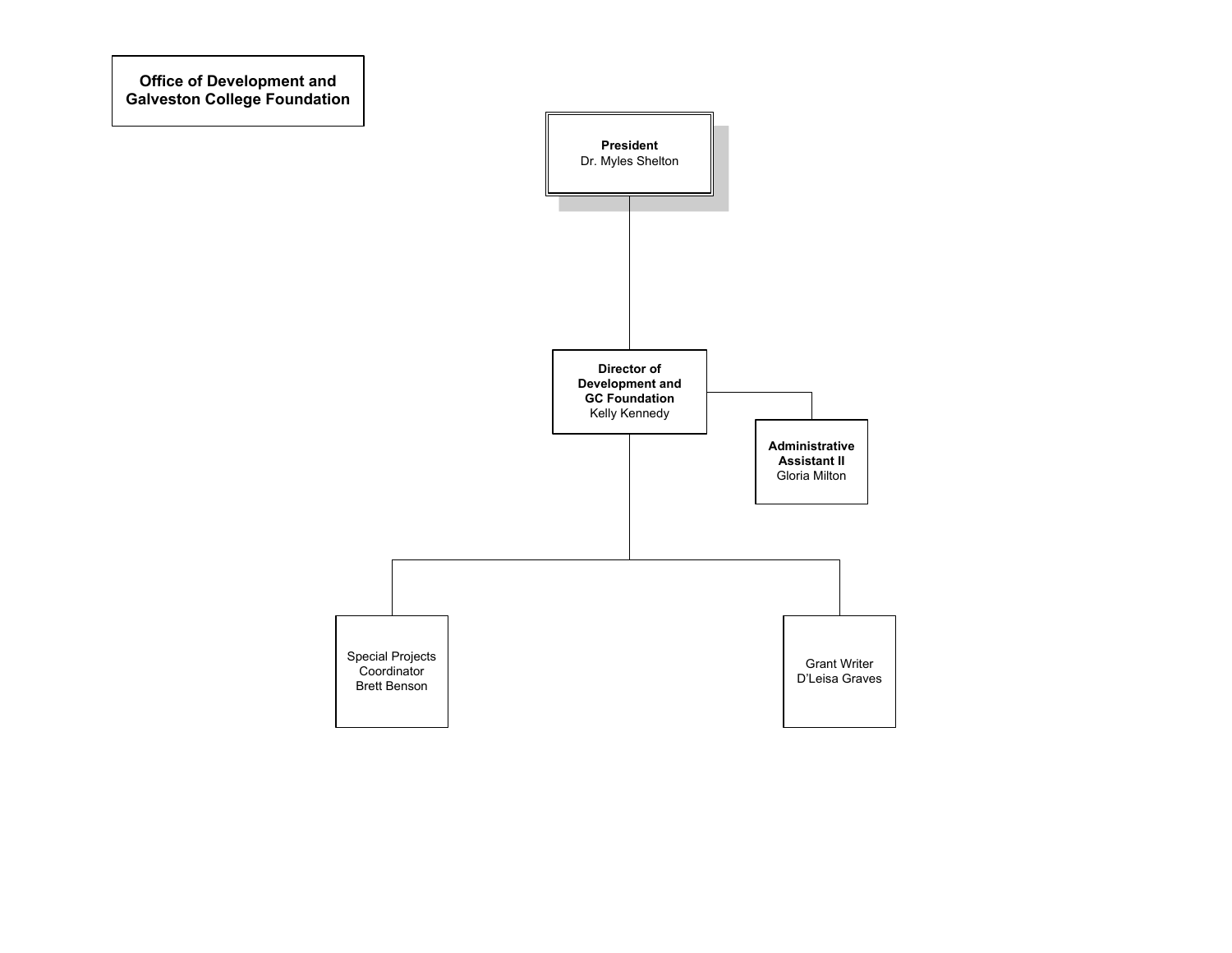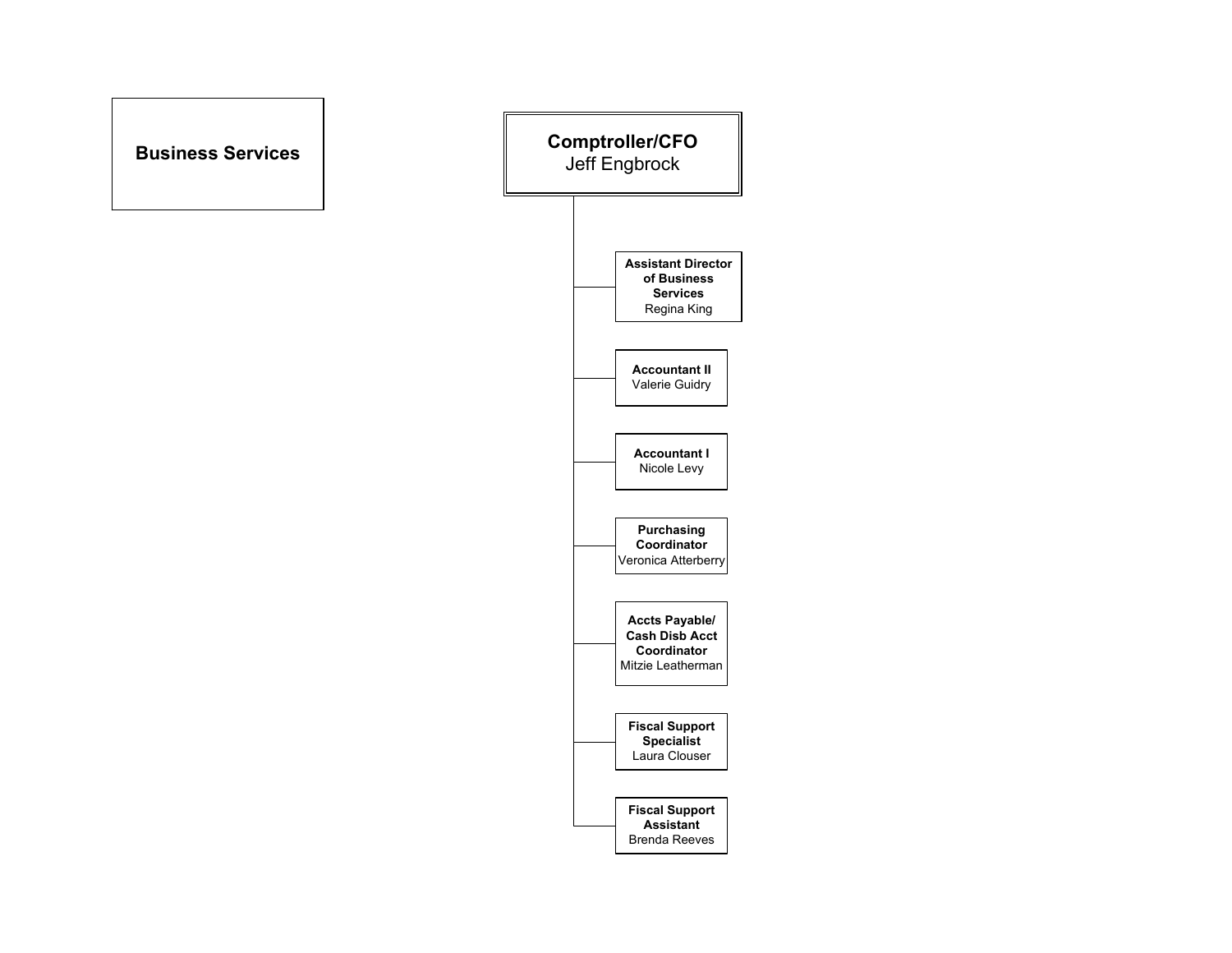